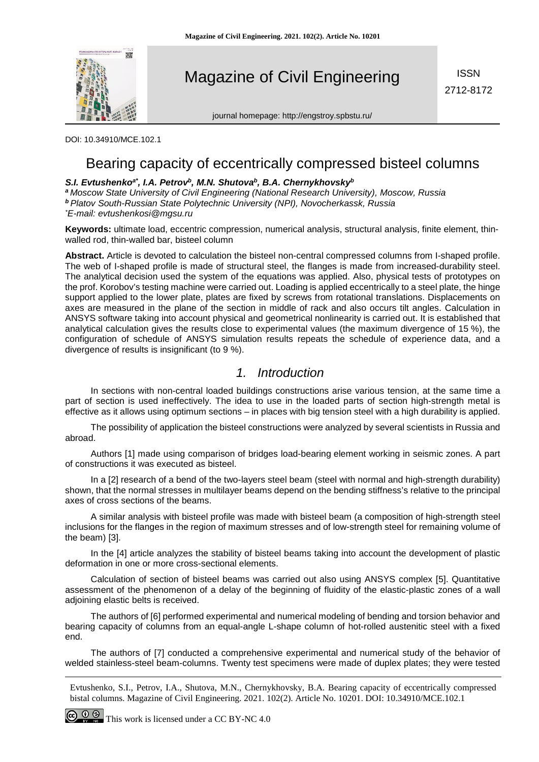

Magazine of Civil Engineering

**ISSN** 2712-8172

journal homepage: http://engstroy.spbstu.ru/

DOI: 10.34910/MCE.102.1

# Bearing capacity of eccentrically compressed bisteel columns

## S.I. Evtushenko<sup>a\*</sup>, I.A. Petrov<sup>b</sup>, M.N. Shutova<sup>b</sup>, B.A. Chernykhovskv<sup>b</sup>

*<sup>a</sup> Moscow State University of Civil Engineering (National Research University), Moscow, Russia <sup>b</sup> Platov South-Russian State Polytechnic University (NPI), Novocherkassk, Russia \* E-mail: evtushenkosi@mgsu.ru*

**Keywords:** ultimate load, eccentric compression, numerical analysis, structural analysis, finite element, thinwalled rod, thin-walled bar, bisteel column

**Abstract.** Article is devoted to calculation the bisteel non-central compressed columns from I-shaped profile. The web of I-shaped profile is made of structural steel, the flanges is made from increased-durability steel. The analytical decision used the system of the equations was applied. Also, physical tests of prototypes on the prof. Korobov's testing machine were carried out. Loading is applied eccentrically to a steel plate, the hinge support applied to the lower plate, plates are fixed by screws from rotational translations. Displacements on axes are measured in the plane of the section in middle of rack and also occurs tilt angles. Calculation in ANSYS software taking into account physical and geometrical nonlinearity is carried out. It is established that analytical calculation gives the results close to experimental values (the maximum divergence of 15 %), the configuration of schedule of ANSYS simulation results repeats the schedule of experience data, and a divergence of results is insignificant (to 9 %).

## *1. Introduction*

In sections with non-central loaded buildings constructions arise various tension, at the same time a part of section is used ineffectively. The idea to use in the loaded parts of section high-strength metal is effective as it allows using optimum sections – in places with big tension steel with a high durability is applied.

The possibility of application the bisteel constructions were analyzed by several scientists in Russia and abroad.

Authors [1] made using comparison of bridges [load-bearing](http://dic.academic.ru/dic.nsf/eng_rus/594878/load) element working in seismic zones. A part of constructions it was executed as bisteel.

In a [2] research of a bend of the two-layers steel beam (steel with normal and high-strength durability) shown, that the normal stresses in multilayer beams depend on the bending stiffness's relative to the principal axes of cross sections of the beams.

A similar analysis with bisteel profile was made with bisteel beam (a composition of high-strength steel inclusions for the flanges in the region of maximum stresses and of low-strength steel for remaining volume of the beam) [3].

In the [4] article analyzes the stability of bisteel beams taking into account the development of plastic deformation in one or more cross-sectional elements.

Calculation of section of bisteel beams was carried out also using ANSYS complex [5]. Quantitative assessment of the phenomenon of a delay of the beginning of fluidity of the elastic-plastic zones of a wall adjoining elastic belts is received.

The authors of [6] performed experimental and numerical modeling of bending and torsion behavior and bearing capacity of columns from an equal-angle L-shape column of hot-rolled austenitic steel with a fixed end.

The authors of [7] conducted a comprehensive experimental and numerical study of the behavior of welded stainless-steel beam-columns. Twenty test specimens were made of duplex plates; they were tested

Evtushenko, S.I., Petrov, I.A., Shutova, M.N., Chernykhovsky, B.A. Bearing capacity of eccentrically compressed bistal columns. Magazine of Civil Engineering. 2021. 102(2). Article No. 10201. DOI: 10.34910/MCE.102.1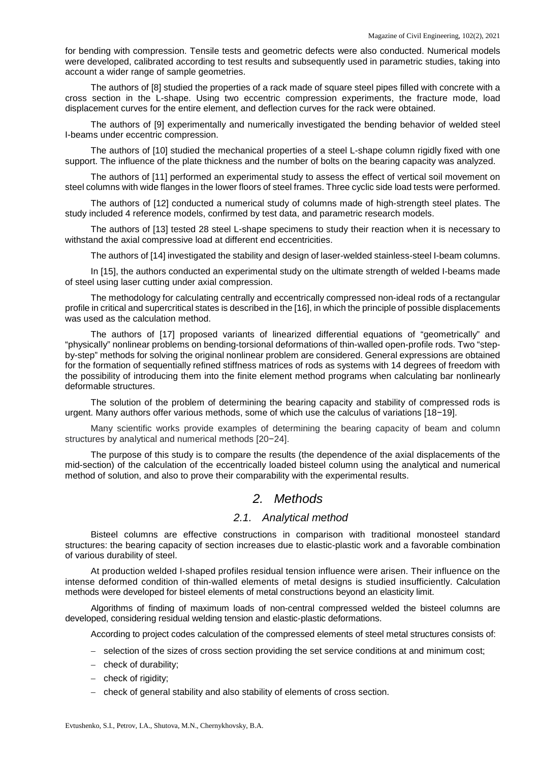for bending with compression. Tensile tests and geometric defects were also conducted. Numerical models were developed, calibrated according to test results and subsequently used in parametric studies, taking into account a wider range of sample geometries.

The authors of [8] studied the properties of a rack made of square steel pipes filled with concrete with a cross section in the L-shape. Using two eccentric compression experiments, the fracture mode, load displacement curves for the entire element, and deflection curves for the rack were obtained.

The authors of [9] experimentally and numerically investigated the bending behavior of welded steel I-beams under eccentric compression.

The authors of [10] studied the mechanical properties of a steel L-shape column rigidly fixed with one support. The influence of the plate thickness and the number of bolts on the bearing capacity was analyzed.

The authors of [11] performed an experimental study to assess the effect of vertical soil movement on steel columns with wide flanges in the lower floors of steel frames. Three cyclic side load tests were performed.

The authors of [12] conducted a numerical study of columns made of high-strength steel plates. The study included 4 reference models, confirmed by test data, and parametric research models.

The authors of [13] tested 28 steel L-shape specimens to study their reaction when it is necessary to withstand the axial compressive load at different end eccentricities.

The authors of [14] investigated the stability and design of laser-welded stainless-steel I-beam columns.

In [15], the authors conducted an experimental study on the ultimate strength of welded I-beams made of steel using laser cutting under axial compression.

The methodology for calculating centrally and eccentrically compressed non-ideal rods of a rectangular profile in critical and supercritical states is described in the [16], in which the principle of possible displacements was used as the calculation method.

The authors of [17] proposed variants of linearized differential equations of "geometrically" and "physically" nonlinear problems on bending-torsional deformations of thin-walled open-profile rods. Two "stepby-step" methods for solving the original nonlinear problem are considered. General expressions are obtained for the formation of sequentially refined stiffness matrices of rods as systems with 14 degrees of freedom with the possibility of introducing them into the finite element method programs when calculating bar nonlinearly deformable structures.

The solution of the problem of determining the bearing capacity and stability of compressed rods is urgent. Many authors offer various methods, some of which use the calculus of variations [18−19].

Many scientific works provide examples of determining the bearing capacity of beam and column structures by analytical and numerical methods [20−24].

The purpose of this study is to compare the results (the dependence of the axial displacements of the mid-section) of the calculation of the eccentrically loaded bisteel column using the analytical and numerical method of solution, and also to prove their comparability with the experimental results.

## *2. Methods*

### *2.1. Analytical method*

Bisteel columns are effective constructions in comparison with traditional monosteel standard structures: the bearing capacity of section increases due to elastic-plastic work and a favorable combination of various durability of steel.

At production welded I-shaped profiles residual tension influence were arisen. Their influence on the intense deformed condition of thin-walled elements of metal designs is studied insufficiently. Calculation methods were developed for bisteel elements of metal constructions beyond an elasticity limit.

Algorithms of finding of maximum loads of non-central compressed welded the bisteel columns are developed, considering residual welding tension and elastic-plastic deformations.

According to project codes calculation of the compressed elements of steel metal structures consists of:

- − selection of the sizes of cross section providing the set service conditions at and minimum cost;
- − check of durability;
- − check of rigidity;
- − check of general stability and also stability of elements of cross section.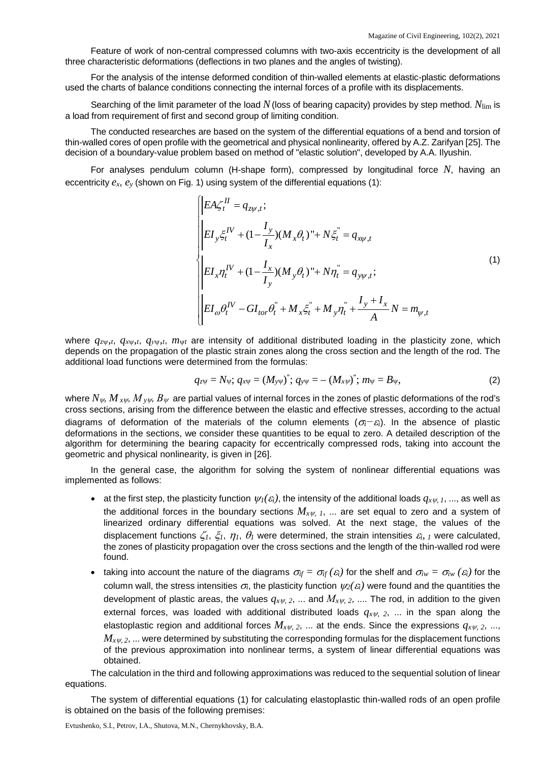Feature of work of non-central compressed columns with two-axis eccentricity is the development of all three characteristic deformations (deflections in two planes and the angles of twisting).

For the analysis of the intense deformed condition of thin-walled elements at elastic-plastic deformations used the charts of balance conditions connecting the internal forces of a profile with its displacements.

Searching of the limit parameter of the load *N*(loss of bearing capacity) provides by step method. *N*lim is a load from requirement of first and second group of limiting condition.

The conducted researches are based on the system of the differential equations of a bend and torsion of thin-walled cores of open profile with the geometrical and physical nonlinearity, offered by A.Z. Zarifyan [25]. The decision of a boundary-value problem based on method of "elastic solution", developed by A.A. Ilyushin.

For analyses pendulum column (H-shape form), compressed by longitudinal force *N*, having an eccentricity *ex*, *ey* (shown on Fig. 1) using system of the differential equations (1):

$$
\begin{cases}\nE A \zeta_t^H = q_{zy,t}; \\
E I_y \zeta_t^H + (1 - \frac{I_y}{I_x})(M_x \theta_t)^* + N \zeta_t^* = q_{xy,t} \\
E I_x \eta_t^H + (1 - \frac{I_x}{I_y})(M_y \theta_t)^* + N \eta_t^* = q_{yy,t}; \\
E I_{\omega} \theta_t^H - G I_{tor} \theta_t^* + M_x \zeta_t^* + M_y \eta_t^* + \frac{I_y + I_x}{A} N = m_{\psi,t}\n\end{cases}
$$
\n(1)

where *qz*ψ,*t*, *qx*ψ,*t*, *qу*<sup>ψ</sup>,*t*, *m*<sup>ψ</sup>*<sup>t</sup>* are intensity of additional distributed loading in the plasticity zone, which depends on the propagation of the plastic strain zones along the cross section and the length of the rod. The additional load functions were determined from the formulas:

$$
q_{z\psi} = N_{\psi}; \, q_{x\psi} = (M_{y\psi})''; \, q_{y\psi} = -(M_{x\psi})''; \, m_{\psi} = B_{\psi}, \tag{2}
$$

where  $N_{\psi}$ ,  $M_{x\psi}$ ,  $M_{y\psi}$ ,  $B_{\psi}$  are partial values of internal forces in the zones of plastic deformations of the rod's cross sections, arising from the difference between the elastic and effective stresses, according to the actual diagrams of deformation of the materials of the column elements (<sup>σ</sup>*i−*<sup>ε</sup>*i*). In the absence of plastic deformations in the sections, we consider these quantities to be equal to zero. A detailed description of the algorithm for determining the bearing capacity for eccentrically compressed rods, taking into account the geometric and physical nonlinearity, is given in [26].

In the general case, the algorithm for solving the system of nonlinear differential equations was implemented as follows:

- at the first step, the plasticity function  $\psi_I(\varepsilon_i)$ , the intensity of the additional loads  $q_{x\psi, I}$ , ..., as well as the additional forces in the boundary sections  $M_{x\psi}$ ,  $I_1$ , ... are set equal to zero and a system of linearized ordinary differential equations was solved. At the next stage, the values of the displacement functions  $\zeta_I$ ,  $\zeta_I$ ,  $\eta_I$ ,  $\theta_I$  were determined, the strain intensities  $\varepsilon_i$ , *1* were calculated, the zones of plasticity propagation over the cross sections and the length of the thin-walled rod were found.
- taking into account the nature of the diagrams  $\sigma_{if} = \sigma_{if}(\varepsilon_i)$  for the shelf and  $\sigma_{iw} = \sigma_{iw}(\varepsilon_i)$  for the column wall, the stress intensities  $\sigma_i$ , the plasticity function  $\psi_2(\varepsilon_i)$  were found and the quantities the development of plastic areas, the values  $q_{xy}$ ,  $z$ , ... and  $M_{xy}$ ,  $z$ , .... The rod, in addition to the given external forces, was loaded with additional distributed loads  $q_{xy}$ ,  $z$ , ... in the span along the elastoplastic region and additional forces *Mx*ψ*, 2*, ... at the ends. Since the expressions *qx*ψ*, 2*, ...,  $M_{x\psi, 2}$ , ... were determined by substituting the corresponding formulas for the displacement functions of the previous approximation into nonlinear terms, a system of linear differential equations was obtained.

The calculation in the third and following approximations was reduced to the sequential solution of linear equations.

The system of differential equations (1) for calculating elastoplastic thin-walled rods of an open profile is obtained on the basis of the following premises: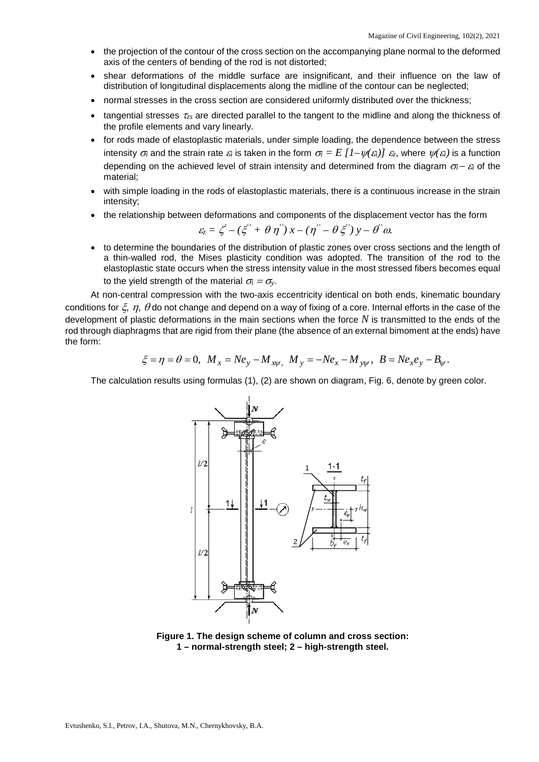- the projection of the contour of the cross section on the accompanying plane normal to the deformed axis of the centers of bending of the rod is not distorted;
- shear deformations of the middle surface are insignificant, and their influence on the law of distribution of longitudinal displacements along the midline of the contour can be neglected;
- normal stresses in the cross section are considered uniformly distributed over the thickness;
- tangential stresses <sup>τ</sup>*zs* are directed parallel to the tangent to the midline and along the thickness of the profile elements and vary linearly.
- for rods made of elastoplastic materials, under simple loading, the dependence between the stress intensity  $\sigma_i$  and the strain rate  $\varepsilon_i$  is taken in the form  $\sigma_i = E \left[1-\psi(\varepsilon_i)\right] \varepsilon_z$ , where  $\psi(\varepsilon_i)$  is a function depending on the achieved level of strain intensity and determined from the diagram <sup>σ</sup>*i*<sup>−</sup> <sup>ε</sup>*i* of the material;
- with simple loading in the rods of elastoplastic materials, there is a continuous increase in the strain intensity;
- the relationship between deformations and components of the displacement vector has the form

$$
\varepsilon_z = \zeta' - (\xi'' + \theta \eta'') x - (\eta'' - \theta \xi'') y - \theta'' \omega.
$$

• to determine the boundaries of the distribution of plastic zones over cross sections and the length of a thin-walled rod, the Mises plasticity condition was adopted. The transition of the rod to the elastoplastic state occurs when the stress intensity value in the most stressed fibers becomes equal to the yield strength of the material  $\sigma_i = \sigma_{\rm y}$ .

At non-central compression with the two-axis eccentricity identical on both ends, kinematic boundary conditions for  $\xi$ ,  $\eta$ ,  $\theta$  do not change and depend on a way of fixing of a core. Internal efforts in the case of the development of plastic deformations in the main sections when the force *N* is transmitted to the ends of the rod through diaphragms that are rigid from their plane (the absence of an external bimoment at the ends) have the form:

$$
\xi = \eta = \theta = 0, \ \ M_x = Ne_y - M_{xy}, \ \ M_y = -Ne_x - M_{yy}, \ \ B = Ne_xe_y - B_y.
$$

The calculation results using formulas (1), (2) are shown on diagram, Fig. 6, denote by green color.



**Figure 1. The design scheme of column and cross section: 1 – normal-strength steel; 2 – high-strength steel.**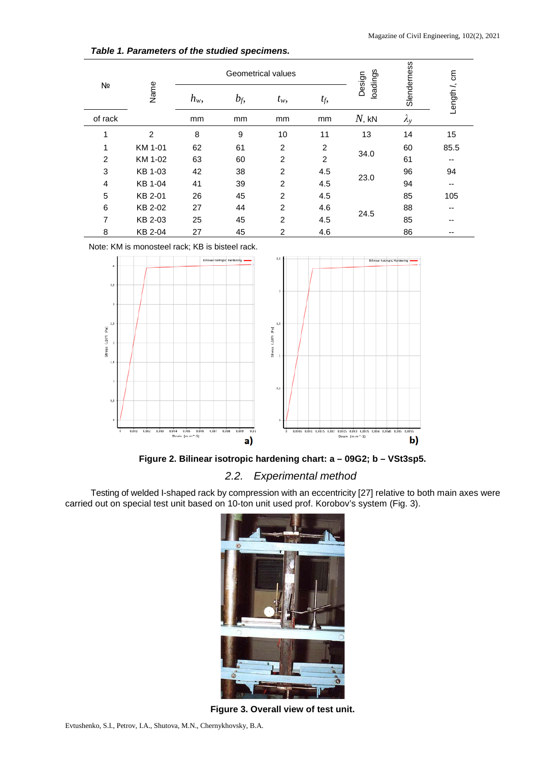| Nº             | Name           | <b>Geometrical values</b> |       |                |                | loadings<br>Design | Slenderness       |              |  |
|----------------|----------------|---------------------------|-------|----------------|----------------|--------------------|-------------------|--------------|--|
|                |                | $h_w$ ,                   | $b_f$ | $t_w$ ,        | $t_f$ ,        |                    |                   | Length /, cm |  |
| of rack        |                | mm                        | mm    | mm<br>mm       |                | $N$ , kN           | $\lambda_{\rm v}$ |              |  |
| 1              | $\overline{2}$ | 8                         | 9     | 10             | 11             | 13                 | 14                | 15           |  |
| 1              | KM 1-01        | 62                        | 61    | $\overline{2}$ | $\overline{2}$ |                    | 60                | 85.5         |  |
| $\overline{c}$ | KM 1-02        | 63                        | 60    | 2              | $\overline{2}$ | 34.0               | 61                | --           |  |
| 3              | KB 1-03        | 42                        | 38    | $\overline{2}$ | 4.5            |                    | 96                | 94           |  |
| $\overline{4}$ | KB 1-04        | 41                        | 39    | $\overline{2}$ | 4.5            | 23.0               | 94                | --           |  |
| 5              | KB 2-01        | 26                        | 45    | $\overline{2}$ | 4.5            |                    | 85                | 105          |  |
| 6              | KB 2-02        | 27                        | 44    | $\overline{2}$ | 4.6            |                    | 88                | --           |  |
| $\overline{7}$ | KB 2-03        | 25                        | 45    | $\overline{2}$ | 4.5            | 24.5               | 85                | --           |  |
| 8              | KB 2-04        | 27                        | 45    | $\overline{c}$ | 4.6            |                    | 86                | --           |  |

### *Table 1. Parameters of the studied specimens.*

Note: KM is monosteel rack; KB is bisteel rack.



**Figure 2. Bilinear isotropic hardening chart: a – 09G2; b – VSt3sp5.**

## *2.2. Experimental method*

Testing of welded I-shaped rack by compression with an eccentricity [27] relative to both main axes were carried out on special test unit based on 10-ton unit used prof. Korobov's system (Fig. 3).



**Figure 3. Overall view of test unit.**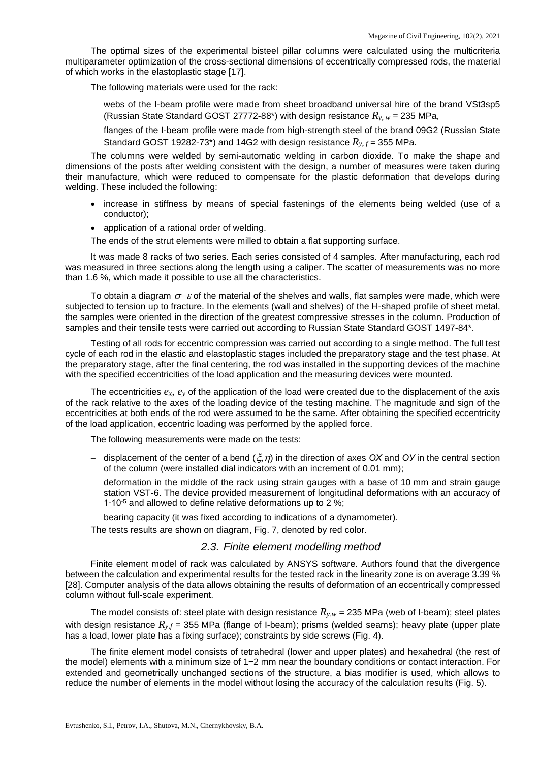The optimal sizes of the experimental bisteel pillar columns were calculated using the multicriteria multiparameter optimization of the cross-sectional dimensions of eccentrically compressed rods, the material of which works in the elastoplastic stage [17].

The following materials were used for the rack:

- − webs of the I-beam profile were made from sheet broadband universal hire of the brand VSt3sp5 (Russian State Standard GOST 27772-88<sup>\*</sup>) with design resistance  $R_{v,w}$  = 235 MPa,
- − flanges of the I-beam profile were made from high-strength steel of the brand 09G2 (Russian State Standard GOST 19282-73<sup>\*</sup>) and 14G2 with design resistance  $R_{v,f}$  = 355 MPa.

The columns were welded by semi-automatic welding in carbon dioxide. To make the shape and dimensions of the posts after welding consistent with the design, a number of measures were taken during their manufacture, which were reduced to compensate for the plastic deformation that develops during welding. These included the following:

- increase in stiffness by means of special fastenings of the elements being welded (use of a conductor);
- application of a rational order of welding.

The ends of the strut elements were milled to obtain a flat supporting surface.

It was made 8 racks of two series. Each series consisted of 4 samples. After manufacturing, each rod was measured in three sections along the length using a caliper. The scatter of measurements was no more than 1.6 %, which made it possible to use all the characteristics.

To obtain a diagram  $\sigma$ – $\varepsilon$  of the material of the shelves and walls, flat samples were made, which were subjected to tension up to fracture. In the elements (wall and shelves) of the H-shaped profile of sheet metal, the samples were oriented in the direction of the greatest compressive stresses in the column. Production of samples and their tensile tests were carried out according to Russian State Standard GOST 1497-84\*.

Testing of all rods for eccentric compression was carried out according to a single method. The full test cycle of each rod in the elastic and elastoplastic stages included the preparatory stage and the test phase. At the preparatory stage, after the final centering, the rod was installed in the supporting devices of the machine with the specified eccentricities of the load application and the measuring devices were mounted.

The eccentricities  $e_x$ ,  $e_y$  of the application of the load were created due to the displacement of the axis of the rack relative to the axes of the loading device of the testing machine. The magnitude and sign of the eccentricities at both ends of the rod were assumed to be the same. After obtaining the specified eccentricity of the load application, eccentric loading was performed by the applied force.

The following measurements were made on the tests:

- − displacement of the center of a bend (ξ,η) in the direction of axes *ОХ* and *ОУ* in the central section of the column (were installed dial indicators with an increment of 0.01 mm);
- − deformation in the middle of the rack using strain gauges with a base of 10 mm and strain gauge station VST-6. The device provided measurement of longitudinal deformations with an accuracy of 1∙10-5 and allowed to define relative deformations up to 2 %;
- − bearing capacity (it was fixed according to indications of a dynamometer).

The tests results are shown on diagram, Fig. 7, denoted by red color.

### *2.3. Finite element modelling method*

Finite element model of rack was calculated by ANSYS software. Authors found that the divergence between the calculation and experimental results for the tested rack in the linearity zone is on average 3.39 % [28]. Computer analysis of the data allows obtaining the results of deformation of an eccentrically compressed column without full-scale experiment.

The model consists of: steel plate with design resistance  $R_{v,w}$  = 235 MPa (web of I-beam); steel plates with design resistance  $R_{y,f}$  = 355 MPa (flange of I-beam); prisms (welded seams); heavy plate (upper plate has a load, lower plate has a fixing surface); constraints by side screws (Fig. 4).

The finite element model consists of tetrahedral (lower and upper plates) and hexahedral (the rest of the model) elements with a minimum size of 1−2 mm near the boundary conditions or contact interaction. For extended and geometrically unchanged sections of the structure, a bias modifier is used, which allows to reduce the number of elements in the model without losing the accuracy of the calculation results (Fig. 5).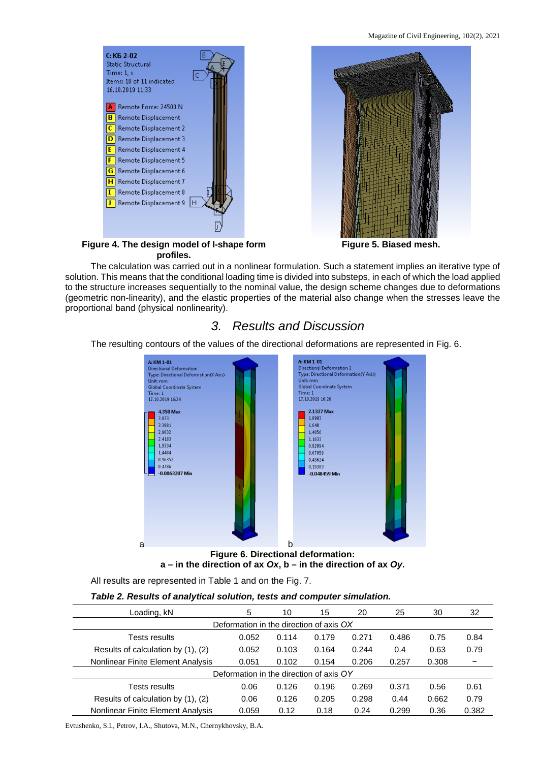**Figure 5. Biased mesh.**



**Figure 4. The design model of I-shape form profiles.**

The calculation was carried out in a nonlinear formulation. Such a statement implies an iterative type of solution. This means that the conditional loading time is divided into substeps, in each of which the load applied to the structure increases sequentially to the nominal value, the design scheme changes due to deformations (geometric non-linearity), and the elastic properties of the material also change when the stresses leave the proportional band (physical nonlinearity).

# *3. Results and Discussion*

The resulting contours of the values of the directional deformations are represented in Fig. 6.



### **Figure 6. Directional deformation: a – in the direction of ax** *Ox***, b – in the direction of ax** *Oy***.**

All results are represented in Table 1 and on the Fig. 7.

### *Table 2. Results of analytical solution, tests and computer simulation.*

| Loading, kN                             | 5     | 10    | 15    | 20    | 25    | 30    | 32    |  |  |  |  |  |
|-----------------------------------------|-------|-------|-------|-------|-------|-------|-------|--|--|--|--|--|
| Deformation in the direction of axis OX |       |       |       |       |       |       |       |  |  |  |  |  |
| Tests results                           | 0.052 | 0.114 | 0.179 | 0.271 | 0.486 | 0.75  | 0.84  |  |  |  |  |  |
| Results of calculation by (1), (2)      | 0.052 | 0.103 | 0.164 | 0.244 | 0.4   | 0.63  | 0.79  |  |  |  |  |  |
| Nonlinear Finite Element Analysis       | 0.051 | 0.102 | 0.154 | 0.206 | 0.257 | 0.308 | -     |  |  |  |  |  |
| Deformation in the direction of axis OY |       |       |       |       |       |       |       |  |  |  |  |  |
| Tests results                           | 0.06  | 0.126 | 0.196 | 0.269 | 0.371 | 0.56  | 0.61  |  |  |  |  |  |
| Results of calculation by (1), (2)      | 0.06  | 0.126 | 0.205 | 0.298 | 0.44  | 0.662 | 0.79  |  |  |  |  |  |
| Nonlinear Finite Element Analysis       | 0.059 | 0.12  | 0.18  | 0.24  | 0.299 | 0.36  | 0.382 |  |  |  |  |  |

Evtushenko, S.I., Petrov, I.A., Shutova, M.N., Chernykhovsky, B.A.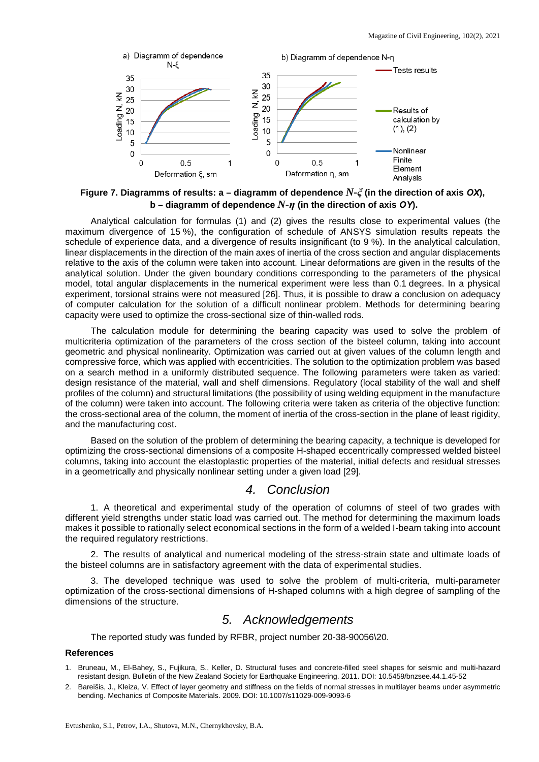

**Figure 7. Diagramms of results: a – diagramm of dependence** *N-ξ* **(in the direction of axis** *ОХ***), b – diagramm of dependence** *N-η* **(in the direction of axis** *ОY***).**

Analytical calculation for formulas (1) and (2) gives the results close to experimental values (the maximum divergence of 15 %), the configuration of schedule of ANSYS simulation results repeats the schedule of experience data, and a divergence of results insignificant (to 9 %). In the analytical calculation, linear displacements in the direction of the main axes of inertia of the cross section and angular displacements relative to the axis of the column were taken into account. Linear deformations are given in the results of the analytical solution. Under the given boundary conditions corresponding to the parameters of the physical model, total angular displacements in the numerical experiment were less than 0.1 degrees. In a physical experiment, torsional strains were not measured [26]. Thus, it is possible to draw a conclusion on adequacy of computer calculation for the solution of a difficult nonlinear problem. Methods for determining bearing capacity were used to optimize the cross-sectional size of thin-walled rods.

The calculation module for determining the bearing capacity was used to solve the problem of multicriteria optimization of the parameters of the cross section of the bisteel column, taking into account geometric and physical nonlinearity. Optimization was carried out at given values of the column length and compressive force, which was applied with eccentricities. The solution to the optimization problem was based on a search method in a uniformly distributed sequence. The following parameters were taken as varied: design resistance of the material, wall and shelf dimensions. Regulatory (local stability of the wall and shelf profiles of the column) and structural limitations (the possibility of using welding equipment in the manufacture of the column) were taken into account. The following criteria were taken as criteria of the objective function: the cross-sectional area of the column, the moment of inertia of the cross-section in the plane of least rigidity, and the manufacturing cost.

Based on the solution of the problem of determining the bearing capacity, a technique is developed for optimizing the cross-sectional dimensions of a composite H-shaped eccentrically compressed welded bisteel columns, taking into account the elastoplastic properties of the material, initial defects and residual stresses in a geometrically and physically nonlinear setting under a given load [29].

## *4. Conclusion*

1. A theoretical and experimental study of the operation of columns of steel of two grades with different yield strengths under static load was carried out. The method for determining the maximum loads makes it possible to rationally select economical sections in the form of a welded I-beam taking into account the required regulatory restrictions.

2. The results of analytical and numerical modeling of the stress-strain state and ultimate loads of the bisteel columns are in satisfactory agreement with the data of experimental studies.

3. The developed technique was used to solve the problem of multi-criteria, multi-parameter optimization of the cross-sectional dimensions of H-shaped columns with a high degree of sampling of the dimensions of the structure.

## *5. Acknowledgements*

The reported study was funded by RFBR, project number 20-38-90056\20.

#### **References**

- 1. Bruneau, M., El-Bahey, S., Fujikura, S., Keller, D. Structural fuses and concrete-filled steel shapes for seismic and multi-hazard resistant design. Bulletin of the New Zealand Society for Earthquake Engineering. 2011. DOI: 10.5459/bnzsee.44.1.45-52
- 2. Bareišis, J., Kleiza, V. Effect of layer geometry and stiffness on the fields of normal stresses in multilayer beams under asymmetric bending. Mechanics of Composite Materials. 2009. DOI: 10.1007/s11029-009-9093-6